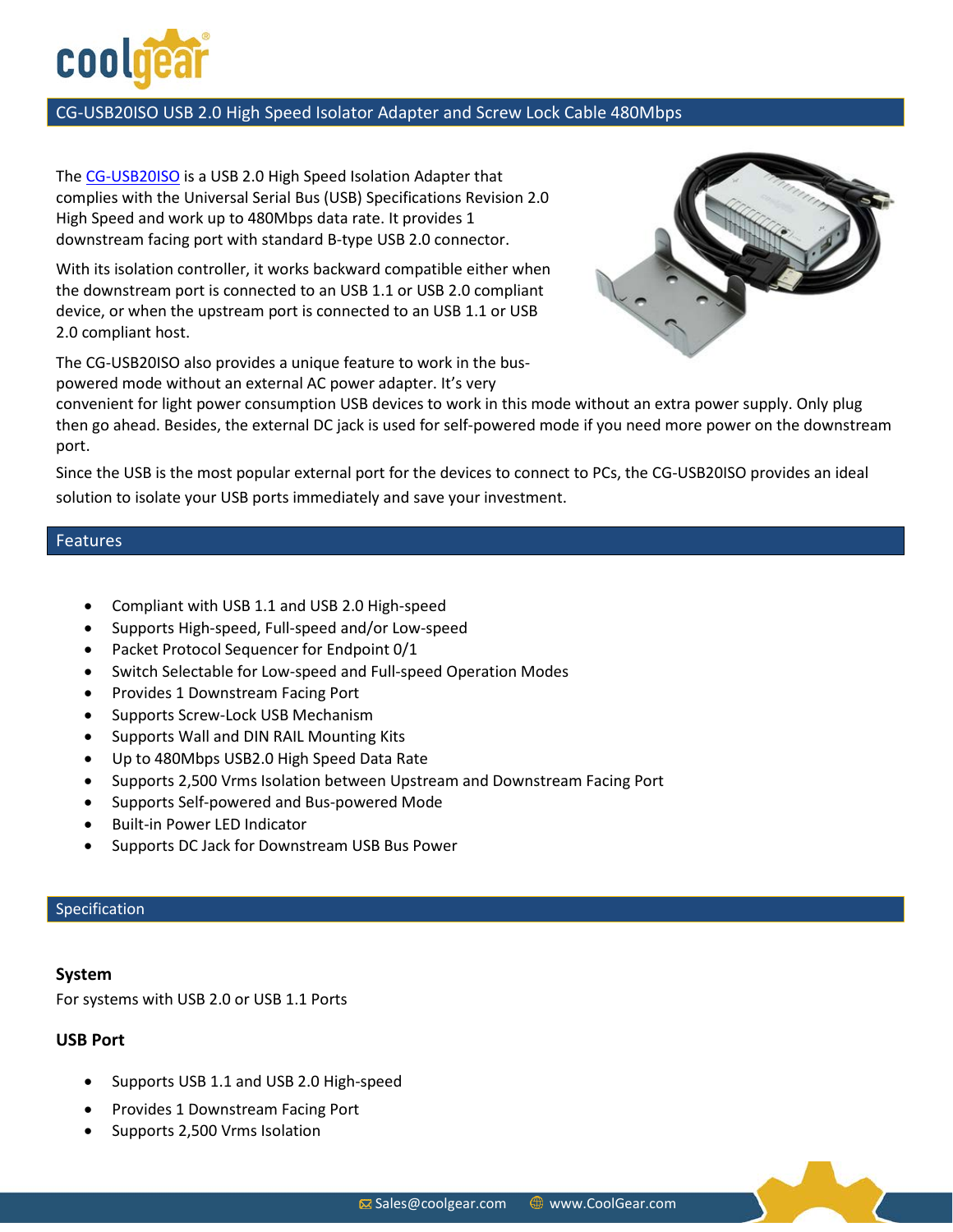

## CG-USB20ISO USB 2.0 High Speed Isolator Adapter and Screw Lock Cable 480Mbps

The [CG-USB20ISO](http://www.coolgear.com/product/usb-isolator-high-speed) is a USB 2.0 High Speed Isolation Adapter that complies with the Universal Serial Bus (USB) Specifications Revision 2.0 High Speed and work up to 480Mbps data rate. It provides 1 downstream facing port with standard B-type USB 2.0 connector.

With its isolation controller, it works backward compatible either when the downstream port is connected to an USB 1.1 or USB 2.0 compliant device, or when the upstream port is connected to an USB 1.1 or USB 2.0 compliant host.

The CG-USB20ISO also provides a unique feature to work in the buspowered mode without an external AC power adapter. It's very



convenient for light power consumption USB devices to work in this mode without an extra power supply. Only plug then go ahead. Besides, the external DC jack is used for self-powered mode if you need more power on the downstream port.

Since the USB is the most popular external port for the devices to connect to PCs, the CG-USB20ISO provides an ideal solution to isolate your USB ports immediately and save your investment.

### Features

- Compliant with USB 1.1 and USB 2.0 High-speed
- Supports High-speed, Full-speed and/or Low-speed
- Packet Protocol Sequencer for Endpoint 0/1
- Switch Selectable for Low-speed and Full-speed Operation Modes
- Provides 1 Downstream Facing Port
- Supports Screw-Lock USB Mechanism
- Supports Wall and DIN RAIL Mounting Kits
- Up to 480Mbps USB2.0 High Speed Data Rate
- Supports 2,500 Vrms Isolation between Upstream and Downstream Facing Port
- Supports Self-powered and Bus-powered Mode
- Built-in Power LED Indicator
- Supports DC Jack for Downstream USB Bus Power

#### Specification

### **System**

For systems with USB 2.0 or USB 1.1 Ports

### **USB Port**

- Supports USB 1.1 and USB 2.0 High-speed
- Provides 1 Downstream Facing Port
- Supports 2,500 Vrms Isolation